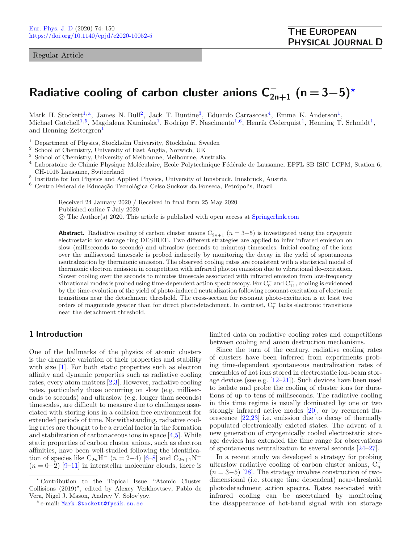Regular Article

# Radiative cooling of carbon cluster anions  $C_{2n+1}^ (n=3-5)^{\star}$

Mark H. Stockett<sup>[1](#page-0-1),a</sup>, James N. Bull<sup>[2](#page-0-2)</sup>, Jack T. Buntine<sup>[3](#page-0-3)</sup>, Eduardo Carrascosa<sup>[4](#page-0-4)</sup>, Emma K. Anderson<sup>1</sup>, Michael Gatchell<sup>[1](#page-0-1)[,5](#page-0-5)</sup>, Magdalena Kaminska<sup>1</sup>, Rodrigo F. Nascimento<sup>[1,](#page-0-1)[6](#page-0-6)</sup>, Henrik Cederquist<sup>1</sup>, Henning T. Schmidt<sup>1</sup>, and Henning Zettergren<sup>[1](#page-0-1)</sup>

- <span id="page-0-1"></span><sup>1</sup> Department of Physics, Stockholm University, Stockholm, Sweden
- <span id="page-0-2"></span><sup>2</sup> School of Chemistry, University of East Anglia, Norwich, UK
- <span id="page-0-3"></span><sup>3</sup> School of Chemistry, University of Melbourne, Melbourne, Australia
- <span id="page-0-4"></span><sup>4</sup> Laboratoire de Chimie Physique Moléculaire, Ecole Polytechnique Fédérale de Lausanne, EPFL SB ISIC LCPM, Station 6, CH-1015 Lausanne, Switzerland
- <span id="page-0-5"></span><sup>5</sup> Institute for Ion Physics and Applied Physics, University of Innsbruck, Innsbruck, Austria
- <span id="page-0-6"></span><sup>6</sup> Centro Federal de Educação Tecnológica Celso Suckow da Fonseca, Petrópolis, Brazil

Received 24 January 2020 / Received in final form 25 May 2020 Published online 7 July 2020 c The Author(s) 2020. This article is published with open access at [Springerlink.com](https://link.springer.com/)

Abstract. Radiative cooling of carbon cluster anions  $C_{2n+1}^-(n=3-5)$  is investigated using the cryogenic electrostatic ion storage ring DESIREE. Two different strategies are applied to infer infrared emission on slow (milliseconds to seconds) and ultraslow (seconds to minutes) timescales. Initial cooling of the ions over the millisecond timescale is probed indirectly by monitoring the decay in the yield of spontaneous neutralization by thermionic emission. The observed cooling rates are consistent with a statistical model of thermionic electron emission in competition with infrared photon emission due to vibrational de-excitation. Slower cooling over the seconds to minutes timescale associated with infrared emission from low-frequency vibrational modes is probed using time-dependent action spectroscopy. For  $C_9^-$  and  $C_{11}^-$ , cooling is evidenced by the time-evolution of the yield of photo-induced neutralization following resonant excitation of electronic transitions near the detachment threshold. The cross-section for resonant photo-excitation is at least two orders of magnitude greater than for direct photodetachment. In contrast,  $C_7^-$  lacks electronic transitions near the detachment threshold.

# 1 Introduction

One of the hallmarks of the physics of atomic clusters is the dramatic variation of their properties and stability with size [\[1\]](#page-7-0). For both static properties such as electron affinity and dynamic properties such as radiative cooling rates, every atom matters [\[2](#page-7-1)[,3\]](#page-7-2). However, radiative cooling rates, particularly those occurring on slow (e.g. milliseconds to seconds) and ultraslow (e.g. longer than seconds) timescales, are difficult to measure due to challenges associated with storing ions in a collision free environment for extended periods of time. Notwithstanding, radiative cooling rates are thought to be a crucial factor in the formation and stabilization of carbonaceous ions in space [\[4,](#page-7-3)[5\]](#page-7-4). While static properties of carbon cluster anions, such as electron affinities, have been well-studied following the identification of species like  $C_{2n}H^{-}$   $(n = 2-4)$  [\[6](#page-7-5)[–8\]](#page-7-6) and  $C_{2n+1}N^{-}$  $(n = 0-2)$  [\[9–](#page-7-7)[11\]](#page-7-8) in interstellar molecular clouds, there is

limited data on radiative cooling rates and competitions between cooling and anion destruction mechanisms.

Since the turn of the century, radiative cooling rates of clusters have been inferred from experiments probing time-dependent spontaneous neutralization rates of ensembles of hot ions stored in electrostatic ion-beam storage devices (see e.g. [\[12](#page-7-9)[–21\]](#page-7-10)). Such devices have been used to isolate and probe the cooling of cluster ions for durations of up to tens of milliseconds. The radiative cooling in this time regime is usually dominated by one or two strongly infrared active modes [\[20\]](#page-7-11), or by recurrent fluorescence [\[22](#page-7-12)[,23\]](#page-7-13) i.e. emission due to decay of thermally populated electronically exicted states. The advent of a new generation of cryogenically cooled electrostatic storage devices has extended the time range for observations of spontaneous neutralization to several seconds [\[24](#page-7-14)[–27\]](#page-7-15).

In a recent study we developed a strategy for probing ultraslow radiative cooling of carbon cluster anions,  $C_n$  $(n = 3-5)$  [\[28\]](#page-7-16). The strategy involves construction of twodimensional (i.e. storage time dependent) near-threshold photodetachment action spectra. Rates associated with infrared cooling can be ascertained by monitoring the disappearance of hot-band signal with ion storage

<sup>?</sup> Contribution to the Topical Issue "Atomic Cluster Collisions (2019)", edited by Alexey Verkhovtsev, Pablo de Vera, Nigel J. Mason, Andrey V. Solov'yov.

<span id="page-0-0"></span>a e-mail: [Mark.Stockett@fysik.su.se](mailto:Mark.Stockett@fysik.su.se)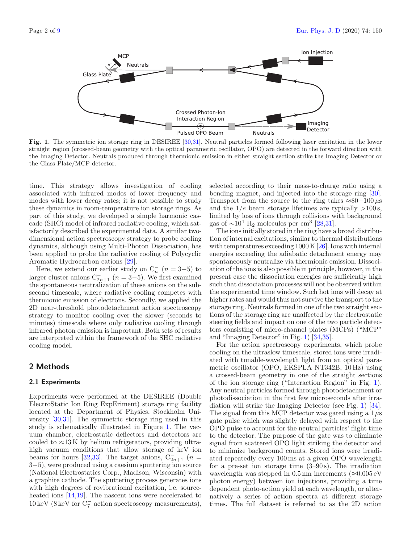

<span id="page-1-0"></span>Fig. 1. The symmetric ion storage ring in DESIREE [\[30,](#page-7-18)[31\]](#page-8-0). Neutral particles formed following laser excitation in the lower straight region (crossed-beam geometry with the optical parametric oscillator, OPO) are detected in the forward direction with the Imaging Detector. Neutrals produced through thermionic emission in either straight section strike the Imaging Detector or the Glass Plate/MCP detector.

time. This strategy allows investigation of cooling associated with infrared modes of lower frequency and modes with lower decay rates; it is not possible to study these dynamics in room-temperature ion storage rings. As part of this study, we developed a simple harmonic cascade (SHC) model of infrared radiative cooling, which satisfactorily described the experimental data. A similar twodimensional action spectroscopy strategy to probe cooling dynamics, although using Multi-Photon Dissociation, has been applied to probe the radiative cooling of Polycyclic Aromatic Hydrocarbon cations [\[29\]](#page-7-19).

Here, we extend our earlier study on  $C_n^ (n = 3-5)$  to larger cluster anions  $C_{2n+1}^ (n = 3-5)$ . We first examined the spontaneous neutralization of these anions on the subsecond timescale, where radiative cooling competes with thermionic emission of electrons. Secondly, we applied the 2D near-threshold photodetachment action spectroscopy strategy to monitor cooling over the slower (seconds to minutes) timescale where only radiative cooling through infrared photon emission is important. Both sets of results are interpreted within the framework of the SHC radiative cooling model.

## 2 Methods

#### 2.1 Experiments

Experiments were performed at the DESIREE (Double ElectroStatic Ion Ring ExpEriment) storage ring facility located at the Department of Physics, Stockholm University [\[30,](#page-7-18)[31\]](#page-8-0). The symmetric storage ring used in this study is schematically illustrated in Figure [1.](#page-1-0) The vacuum chamber, electrostatic deflectors and detectors are cooled to  $\approx$ 13 K by helium refrigerators, providing ultrahigh vacuum conditions that allow storage of keV ion beams for hours [\[32](#page-8-1)[,33\]](#page-8-2). The target anions,  $C_{2n+1}^-$  (n = 3−5), were produced using a caesium sputtering ion source (National Electrostatics Corp., Madison, Wisconsin) with a graphite cathode. The sputtering process generates ions with high degrees of rovibrational excitation, i.e. source-heated ions [\[14,](#page-7-20)[19\]](#page-7-21). The nascent ions were accelerated to  $10\,{\rm keV}$  (8 keV for  $\rm C_7^-$  action spectroscopy measurements), selected according to their mass-to-charge ratio using a bending magnet, and injected into the storage ring [\[30\]](#page-7-18). Transport from the source to the ring takes  $\approx 80-100 \,\mu s$ and the  $1/e$  beam storage lifetimes are typically  $>100$  s, limited by loss of ions through collisions with background gas of  $\sim 10^4$  H<sub>2</sub> molecules per cm<sup>3</sup> [\[28,](#page-7-16)[31\]](#page-8-0).

The ions initially stored in the ring have a broad distribution of internal excitations, similar to thermal distributions with temperatures exceeding 1000 K [\[26\]](#page-7-22). Ions with internal energies exceeding the adiabatic detachment energy may spontaneously neutralize via thermionic emission. Dissociation of the ions is also possible in principle, however, in the present case the dissociation energies are sufficiently high such that dissociation processes will not be observed within the experimental time window. Such hot ions will decay at higher rates and would thus not survive the transport to the storage ring. Neutrals formed in one of the two straight sections of the storage ring are unaffected by the electrostatic steering fields and impact on one of the two particle detectors consisting of micro-channel plates (MCPs) ("MCP" and "Imaging Detector" in Fig. [1\)](#page-1-0) [\[34](#page-8-3)[,35\]](#page-8-4).

For the action spectroscopy experiments, which probe cooling on the ultraslow timescale, stored ions were irradiated with tunable-wavelength light from an optical parametric oscillator (OPO, EKSPLA NT342B, 10 Hz) using a crossed-beam geometry in one of the straight sections of the ion storage ring ("Interaction Region" in Fig. [1\)](#page-1-0). Any neutral particles formed through photodetachment or photodissociation in the first few microseconds after irradiation will strike the Imaging Detector (see Fig. [1\)](#page-1-0) [\[34\]](#page-8-3). The signal from this MCP detector was gated using a  $1 \mu s$ gate pulse which was slightly delayed with respect to the OPO pulse to account for the neutral particles' flight time to the detector. The purpose of the gate was to eliminate signal from scattered OPO light striking the detector and to minimize background counts. Stored ions were irradiated repeatedly every 100 ms at a given OPO wavelength for a pre-set ion storage time (3–90 s). The irradiation wavelength was stepped in  $0.5 \,\mathrm{nm}$  increments ( $\approx 0.005 \,\mathrm{eV}$ photon energy) between ion injections, providing a time dependent photo-action yield at each wavelength, or alternatively a series of action spectra at different storage times. The full dataset is referred to as the 2D action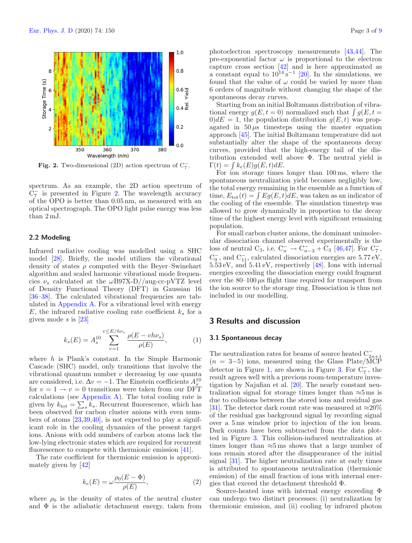

<span id="page-2-0"></span>Fig. 2. Two-dimensional (2D) action spectrum of  $C_7^-$ .

spectrum. As an example, the 2D action spectrum of  $\overline{C}_7^-$  is presented in Figure [2.](#page-2-0) The wavelength accuracy of the OPO is better than 0.05 nm, as measured with an optical spectrograph. The OPO light pulse energy was less than 2 mJ.

#### <span id="page-2-1"></span>2.2 Modeling

Infrared radiative cooling was modelled using a SHC model [\[28\]](#page-7-16). Briefly, the model utilizes the vibrational density of states  $\rho$  computed with the Beyer–Swinehart algorithm and scaled harmonic vibrational mode frequencies  $\nu_s$  calculated at the  $\omega$ B97X-D//aug-cc-pVTZ level of Density Functional Theory (DFT) in Gaussian 16 [\[36–](#page-8-5)[38\]](#page-8-6). The calculated vibrational frequencies are tabulated in [Appendix A.](#page-6-0) For a vibrational level with energy  $E$ , the infrared radiative cooling rate coefficient  $k_s$  for a given mode s is [\[23\]](#page-7-13)

<span id="page-2-3"></span>
$$
k_s(E) = A_s^{10} \sum_{v=1}^{v \le E/h\nu_s} \frac{\rho(E - v h \nu_s)}{\rho(E)},
$$
 (1)

where  $h$  is Plank's constant. In the Simple Harmonic Cascade (SHC) model, only transitions that involve the vibrational quantum number v decreasing by one quanta are considered, i.e.  $\Delta v = -1$ . The Einstein coefficients  $A_s^{10}$ for  $v = 1 \rightarrow v = 0$  transitions were taken from our DFT calculations (see [Appendix A\)](#page-6-0). The total cooling rate is given by  $k_{\text{tot}} = \sum_{s} k_s$ . Recurrent fluorescence, which has been observed for carbon cluster anions with even numbers of atoms [\[23,](#page-7-13)[39](#page-8-7)[,40\]](#page-8-8), is not expected to play a significant role in the cooling dynamics of the present target ions. Anions with odd numbers of carbon atoms lack the low-lying electronic states which are required for recurrent fluorescence to compete with thermionic emission [\[41\]](#page-8-9).

The rate coefficient for thermionic emission is approximately given by [\[42\]](#page-8-10)

<span id="page-2-2"></span>
$$
k_e(E) = \omega \frac{\rho_0(E - \Phi)}{\rho(E)},
$$
\n(2)

where  $\rho_0$  is the density of states of the neutral cluster and  $\Phi$  is the adiabatic detachment energy, taken from photoelectron spectroscopy measurements [\[43](#page-8-11)[,44\]](#page-8-12). The pre-exponential factor  $\omega$  is proportional to the electron capture cross section [\[42\]](#page-8-10) and is here approximated as a constant equal to  $10^{14}$  s<sup>-1</sup> [\[20\]](#page-7-11). In the simulations, we found that the value of  $\omega$  could be varied by more than 6 orders of magnitude without changing the shape of the spontaneous decay curves.

Starting from an initial Boltzmann distribution of vibrational energy  $g(E, t = 0)$  normalized such that  $\int g(E, t = 0)$  $0/dE = 1$ , the population distribution  $g(E, t)$  was propagated in  $50 \mu s$  timesteps using the master equation approach [\[45\]](#page-8-13). The initial Boltzmann temperature did not substantially alter the shape of the spontaneous decay curves, provided that the high-energy tail of the distribution extended well above Φ. The neutral yield is  $\Gamma(t) = \int k_e(E) g(E, t) dE.$ 

For ion storage times longer than 100 ms, where the spontaneous neutralization yield becomes negligibly low, the total energy remaining in the ensemble as a function of time,  $E_{\text{tot}}(t) = \int Eg(E, t) dE$ , was taken as an indicator of the cooling of the ensemble. The simulation timestep was allowed to grow dynamically in proportion to the decay time of the highest energy level with significant remaining population.

For small carbon cluster anions, the dominant unimolecular dissociation channel observed experimentally is the loss of neutral C<sub>3</sub>, i.e.  $C_n^- \to C_{n-3}^- + C_3$  [\[46,](#page-8-14)[47\]](#page-8-15). For  $C_7^-$ ,  $C_9^-$ , and  $C_{11}^-$ , calculated dissociation energies are 5.77 eV, 5.53 eV, and 5.41 eV, respectively [\[48\]](#page-8-16). Ions with internal energies exceeding the dissociation energy could fragment over the  $80-100 \mu s$  flight time required for transport from the ion source to the storage ring. Dissociation is thus not included in our modelling.

## 3 Results and discussion

#### 3.1 Spontaneous decay

The neutralization rates for beams of source heated  $C_{2n+1}^ (n = 3-5)$  ions, measured using the Glass Plate/MCP detector in Figure [1,](#page-1-0) are shown in Figure [3.](#page-3-0) For  $C_7^-$ , the result agrees well with a previous room-temperature investigation by Najafian et al. [\[20\]](#page-7-11). The nearly constant neutralization signal for storage times longer than  $\approx 5$  ms is due to collisions between the stored ions and residual gas [\[31\]](#page-8-0). The detector dark count rate was measured at  $\approx 20\%$ of the residual gas background signal by recording signal over a 5 ms window prior to injection of the ion beam. Dark counts have been subtracted from the data plotted in Figure [3.](#page-3-0) This collision-induced neutralization at times longer than  $\approx$ 5 ms shows that a large number of ions remain stored after the disappearance of the initial signal [\[31\]](#page-8-0). The higher neutralization rate at early times is attributed to spontaneous neutralization (thermionic emission) of the small fraction of ions with internal energies that exceed the detachment threshold Φ.

Source-heated ions with internal energy exceeding Φ can undergo two distinct processes: (i) neutralization by thermionic emission, and (ii) cooling by infrared photon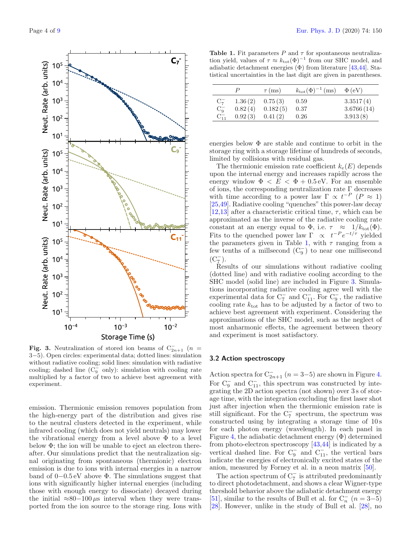

<span id="page-3-0"></span>**Fig. 3.** Neutralization of stored ion beams of  $C_{2n+1}^-$  (n = 3−5). Open circles: experimental data; dotted lines: simulation without radiative cooling; solid lines: simulation with radiative cooling; dashed line  $(C_9^-$  only): simulation with cooling rate multiplied by a factor of two to achieve best agreement with experiment.

emission. Thermionic emission removes population from the high-energy part of the distribution and gives rise to the neutral clusters detected in the experiment, while infrared cooling (which does not yield neutrals) may lower the vibrational energy from a level above  $\Phi$  to a level below  $\Phi$ ; the ion will be unable to eject an electron thereafter. Our simulations predict that the neutralization signal originating from spontaneous (thermionic) electron emission is due to ions with internal energies in a narrow band of 0−0.5 eV above Φ. The simulations suggest that ions with significantly higher internal energies (including those with enough energy to dissociate) decayed during the initial  $\approx 80-100 \,\mu s$  interval when they were transported from the ion source to the storage ring. Ions with

<span id="page-3-1"></span>Table 1. Fit parameters  $P$  and  $\tau$  for spontaneous neutralization yield, values of  $\tau \approx k_{\text{tot}}(\Phi)^{-1}$  from our SHC model, and adiabatic detachment energies  $(\Phi)$  from literature [\[43,](#page-8-11)[44\]](#page-8-12). Statistical uncertainties in the last digit are given in parentheses.

|            |         | $\tau$ (ms) | $k_{\rm tot}(\Phi)^{-1}$ (ms) | $\Phi$ (eV) |
|------------|---------|-------------|-------------------------------|-------------|
| $C_7^-$    | 1.36(2) | 0.75(3)     | 0.59                          | 3.3517(4)   |
| $C_9^-$    | 0.82(4) | 0.182(5)    | 0.37                          | 3.6766(14)  |
| $C_{11}^-$ | 0.92(3) | 0.41(2)     | 0.26                          | 3.913(8)    |

energies below  $\Phi$  are stable and continue to orbit in the storage ring with a storage lifetime of hundreds of seconds, limited by collisions with residual gas.

The thermionic emission rate coefficient  $k_e(E)$  depends upon the internal energy and increases rapidly across the energy window  $\Phi \leq E \leq \Phi + 0.5$  eV. For an ensemble of ions, the corresponding neutralization rate  $\Gamma$  decreases with time according to a power law  $\Gamma \propto t^{-P}$  ( $P \approx 1$ ) [\[25,](#page-7-23)[49\]](#page-8-17). Radiative cooling "quenches" this power-law decay [\[12,](#page-7-9)[13\]](#page-7-24) after a characteristic critical time,  $\tau$ , which can be approximated as the inverse of the radiative cooling rate constant at an energy equal to  $\Phi$ , i.e.  $\tau \approx 1/k_{\text{tot}}(\Phi)$ . Fits to the quenched power law  $\Gamma \propto t^{-P} e^{-t/\tau}$  yielded the parameters given in Table [1,](#page-3-1) with  $\tau$  ranging from a few tenths of a millisecond  $(C_9^-)$  to near one millisecond  $(C_7^-)$ .

Results of our simulations without radiative cooling (dotted line) and with radiative cooling according to the SHC model (solid line) are included in Figure [3.](#page-3-0) Simulations incorporating radiative cooling agree well with the experimental data for  $C_7^-$  and  $C_{11}^-$ . For  $C_9^-$ , the radiative cooling rate  $k_{\text{tot}}$  has to be adjusted by a factor of two to achieve best agreement with experiment. Considering the approximations of the SHC model, such as the neglect of most anharmonic effects, the agreement between theory and experiment is most satisfactory.

### 3.2 Action spectroscopy

Action spectra for  $C_{2n+1}^ (n = 3-5)$  are shown in Figure [4.](#page-4-0) For  $C_9^-$  and  $C_{11}^-$ , this spectrum was constructed by integrating the 2D action spectra (not shown) over 3 s of storage time, with the integration excluding the first laser shot just after injection when the thermionic emission rate is still significant. For the  $C_7^-$  spectrum, the spectrum was constructed using by integrating a storage time of 10 s for each photon energy (wavelength). In each panel in Figure [4,](#page-4-0) the adiabatic detachment energy  $(\Phi)$  determined from photo-electron spectroscopy [\[43,](#page-8-11)[44\]](#page-8-12) is indicated by a vertical dashed line. For  $C_9^-$  and  $C_{11}^-$ , the vertical bars indicate the energies of electronically excited states of the anion, measured by Forney et al. in a neon matrix [\[50\]](#page-8-18).

The action spectrum of  $C_7^-$  is attributed predominantly to direct photodetachment, and shows a clear Wigner-type threshold behavior above the adiabatic detachment energy [\[51\]](#page-8-19), similar to the results of Bull et al. for  $C_n^ (n = 3-\tilde{5})$ [\[28\]](#page-7-16). However, unlike in the study of Bull et al. [\[28\]](#page-7-16), no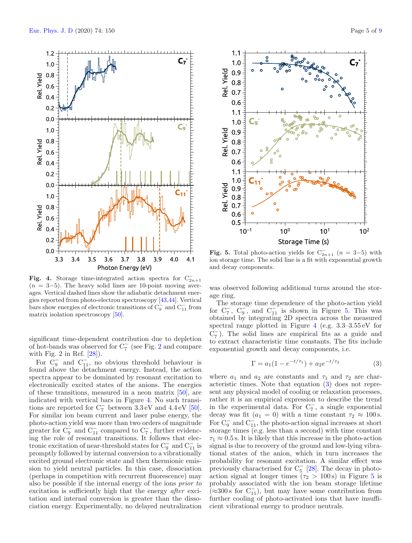<span id="page-4-0"></span>

significant time-dependent contribution due to depletion of hot-bands was observed for  $C_7^-$  (see Fig. [2](#page-2-0) and compare with Fig. 2 in Ref. [\[28\]](#page-7-16)).

For  $C_9^-$  and  $C_{11}^-$ , no obvious threshold behaviour is found above the detachment energy. Instead, the action spectra appear to be dominated by resonant excitation to electronically excited states of the anions. The energies of these transitions, measured in a neon matrix [\[50\]](#page-8-18), are indicated with vertical bars in Figure [4.](#page-4-0) No such transitions are reported for  $C_7^-$  between 3.3 eV and 4.4 eV [\[50\]](#page-8-18). For similar ion beam current and laser pulse energy, the photo-action yield was more than two orders of magnitude greater for  $C_9^-$  and  $C_{11}^-$  compared to  $C_7^-$ , further evidencing the role of resonant transitions. It follows that electronic excitation of near-threshold states for  $C_9^-$  and  $C_{11}^-$  is promptly followed by internal conversion to a vibrationally excited ground electronic state and then thermionic emission to yield neutral particles. In this case, dissociation (perhaps in competition with recurrent fluorescence) may also be possible if the internal energy of the ions prior to excitation is sufficiently high that the energy *after* excitation and internal conversion is greater than the dissociation energy. Experimentally, no delayed neutralization

<span id="page-4-1"></span>Fig. 5. Total photo-action yields for  $C_{2n+1}^ (n = 3-5)$  with ion storage time. The solid line is a fit with exponential growth and decay components.

was observed following additional turns around the storage ring.

The storage time dependence of the photo-action yield for  $C_7^-$ ,  $C_9^-$ , and  $C_{11}^-$  is shown in Figure [5.](#page-4-1) This was obtained by integrating 2D spectra across the measured spectral range plotted in Figure [4](#page-4-0) (e.g. 3.3–3.55 eV for  $C_7^-$ ). The solid lines are empirical fits as a guide and to extract characteristic time constants. The fits include exponential growth and decay components, i.e.

<span id="page-4-2"></span>
$$
\Gamma = a_1 (1 - e^{-t/\tau_1}) + a_2 e^{-t/\tau_2} \tag{3}
$$

where  $a_1$  and  $a_2$  are constants and  $\tau_1$  and  $\tau_2$  are characteristic times. Note that equation [\(3\)](#page-4-2) does not represent any physical model of cooling or relaxation processes, rather it is an empirical expression to describe the trend in the experimental data. For  $C_7^-$ , a single exponential decay was fit ( $a_1 = 0$ ) with a time constant  $\tau_2 \approx 100$  s. For  $C_9^-$  and  $C_{11}^-$ , the photo-action signal increases at short storage times (e.g. less than a second) with time constant  $\tau_1 \approx 0.5$  s. It is likely that this increase in the photo-action signal is due to recovery of the ground and low-lying vibrational states of the anion, which in turn increases the probability for resonant excitation. A similar effect was previously characterised for  $C_5^-$  [\[28\]](#page-7-16). The decay in photoaction signal at longer times ( $\tau_2 > 100 \text{ s}$ ) in Figure [5](#page-4-1) is probably associated with the ion beam storage lifetime  $(z=300 s$  for  $C_{11}^-$ ), but may have some contribution from further cooling of photo-activated ions that have insufficient vibrational energy to produce neutrals.



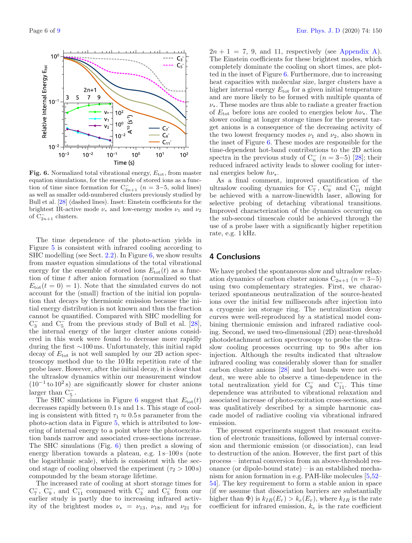

<span id="page-5-0"></span>Fig. 6. Normalized total vibrational energy,  $E_{\text{tot}}$ , from master equation simulations, for the ensemble of stored ions as a function of time since formation for  $C_{2n+1}^ (n = 3-5, \text{ solid lines})$ as well as smaller odd-numbered clusters previously studied by Bull et al. [\[28\]](#page-7-16) (dashed lines). Inset: Einstein coefficients for the brightest IR-active mode  $\nu_*$  and low-energy modes  $\nu_1$  and  $\nu_2$ of  $C_{2n+1}^-$  clusters.

The time dependence of the photo-action yields in Figure [5](#page-4-1) is consistent with infrared cooling according to SHC modelling (see Sect. [2.2\)](#page-2-1). In Figure [6,](#page-5-0) we show results from master equation simulations of the total vibrational energy for the ensemble of stored ions  $E_{\text{tot}}(t)$  as a function of time  $t$  after anion formation (normalized so that  $E_{\text{tot}}(t=0) = 1$ . Note that the simulated curves do not account for the (small) fraction of the initial ion population that decays by thermionic emission because the initial energy distribution is not known and thus the fraction cannot be quantified. Compared with SHC modelling for  $C_3^-$  and  $C_5^-$  from the previous study of Bull et al. [\[28\]](#page-7-16), the internal energy of the larger cluster anions considered in this work were found to decrease more rapidly during the first ∼100 ms. Unfortunately, this initial rapid decay of  $E_{\text{tot}}$  is not well sampled by our 2D action spectroscopy method due to the 10 Hz repetition rate of the probe laser. However, after the initial decay, it is clear that the ultraslow dynamics within our measurement window  $(10^{-1}$  to  $10^{2}$  s) are significantly slower for cluster anions larger than  $C_5^-$ .

The SHC simulations in Figure [6](#page-5-0) suggest that  $E_{\text{tot}}(t)$ decreases rapidly between 0.1 s and 1 s. This stage of cooling is consistent with fitted  $\tau_1 \approx 0.5$  s parameter from the photo-action data in Figure [5,](#page-4-1) which is attributed to lowering of internal energy to a point where the photoexcitation bands narrow and associated cross-sections increase. The SHC simulations (Fig. [6\)](#page-5-0) then predict a slowing of energy liberation towards a plateau, e.g.  $1\,\mathrm{s}$ -100 s (note the logarithmic scale), which is consistent with the second stage of cooling observed the experiment  $(\tau_2 > 100 \,\mathrm{s})$ compounded by the beam storage lifetime.

The increased rate of cooling at short storage times for  $C_7^-$ ,  $C_9^-$ , and  $C_{11}^-$  compared with  $C_3^-$  and  $C_5^-$  from our earlier study is partly due to increasing infrared activity of the brightest modes  $\nu_* = \nu_{13}$ ,  $\nu_{18}$ , and  $\nu_{21}$  for  $2n + 1 = 7$ , 9, and 11, respectively (see [Appendix A\)](#page-6-0). The Einstein coefficients for these brightest modes, which completely dominate the cooling on short times, are plotted in the inset of Figure [6.](#page-5-0) Furthermore, due to increasing heat capacities with molecular size, larger clusters have a higher internal energy  $E_{\text{tot}}$  for a given initial temperature and are more likely to be formed with multiple quanta of  $\nu_{*}$ . These modes are thus able to radiate a greater fraction of  $E_{\text{tot}}$  before ions are cooled to energies below  $h\nu_{*}$ . The slower cooling at longer storage times for the present target anions is a consequence of the decreasing activity of the two lowest frequency modes  $\nu_1$  and  $\nu_2$ , also shown in the inset of Figure [6.](#page-5-0) These modes are responsible for the time-dependent hot-band contributions to the 2D action spectra in the previous study of  $C_n^ (n = 3-5)$  [\[28\]](#page-7-16); their reduced infrared activity leads to slower cooling for internal energies below  $h\nu_*$ .

As a final comment, improved quantification of the ultraslow cooling dynamics for  $C_7^-$ ,  $C_9^-$  and  $C_{11}^-$  might be achieved with a narrow-linewidth laser, allowing for selective probing of detaching vibrational transitions. Improved characterization of the dynamics occurring on the sub-second timescale could be achieved through the use of a probe laser with a significantly higher repetition rate, e.g. 1 kHz.

## 4 Conclusions

We have probed the spontaneous slow and ultraslow relaxation dynamics of carbon cluster anions  $C_{2n+1}$   $(n = 3-5)$ using two complementary strategies. First, we characterized spontaneous neutralization of the source-heated ions over the initial few milliseconds after injection into a cryogenic ion storage ring. The neutralization decay curves were well-reproduced by a statistical model combining thermionic emission and infrared radiative cooling. Second, we used two-dimensional (2D) near-threshold photodetachment action spectroscopy to probe the ultraslow cooling processes occurring up to 90s after ion injection. Although the results indicated that ultraslow infrared cooling was considerably slower than for smaller carbon cluster anions [\[28\]](#page-7-16) and hot bands were not evident, we were able to observe a time-dependence in the total neutralization yield for  $C_9^-$  and  $C_{11}^-$ . This time dependence was attributed to vibrational relaxation and associated increase of photo-excitation cross-sections, and was qualitatively described by a simple harmonic cascade model of radiative cooling via vibrational infrared emission.

The present experiments suggest that resonant excitation of electronic transitions, followed by internal conversion and thermionic emission (or dissociation), can lead to destruction of the anion. However, the first part of this process – internal conversion from an above-threshold resonance (or dipole-bound state) – is an established mechanism for anion formation in e.g. PAH-like molecules [\[5](#page-7-4)[,52–](#page-8-20) [54\]](#page-8-21). The key requirement to form a stable anion in space (if we assume that dissociation barriers are substantially higher than  $\Phi$ ) is  $k_{IR}(E_r) > k_e(E_r)$ , where  $k_{IR}$  is the rate coefficient for infrared emission,  $k_e$  is the rate coefficient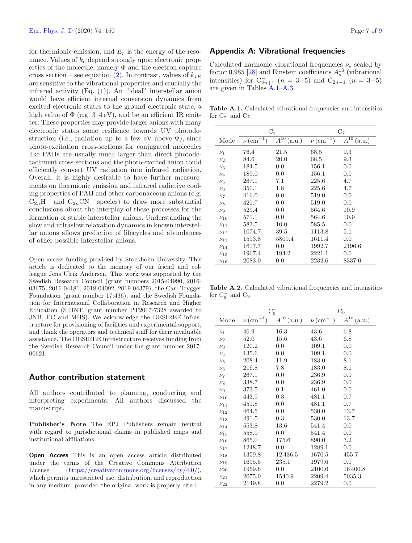for thermionic emission, and  $E_r$  is the energy of the resonance. Values of  $k_e$  depend strongly upon electronic properties of the molecule, namely  $\Phi$  and the electron capture cross section – see equation [\(2\)](#page-2-2). In contrast, values of  $k_{IR}$ are sensitive to the vibrational properties and crucially the infrared activity  $(Eq. (1))$  $(Eq. (1))$  $(Eq. (1))$ . An "ideal" interstellar anion would have efficient internal conversion dynamics from excited electronic states to the ground electronic state, a high value of  $\Phi$  (e.g. 3–4 eV), and be an efficient IR emitter. These properties may provide larger anions with many electronic states some resilience towards UV photodestruction (i.e., radiation up to a few eV above  $\Phi$ ), since photo-excitation cross-sections for conjugated molecules like PAHs are usually much larger than direct photodetachment cross-sections and the photo-excited anion could efficiently convert UV radiation into infrared radiation. Overall, it is highly desirable to have further measurements on thermionic emission and infrared radiative cooling properties of PAH and other carbonaceous anions (e.g.  $C_{2n}H^-$  and  $C_{2n}CN^-$  species) to draw more substantial conclusions about the interplay of these processes for the formation of stable interstellar anions. Understanding the slow and utlraslow relaxation dynamics in known interstellar anions allows prediction of lifecycles and abundances of other possible interstellar anions.

Open access funding provided by Stockholm University. This article is dedicated to the memory of our friend and colleague Jens Ulrik Andersen. This work was supported by the Swedish Research Council (grant numbers 2015-04990, 2016- 03675, 2016-04181, 2018-04092, 2019-04379), the Carl Trygger Foundation (grant number 17:436), and the Swedish Foundation for International Collaboration in Research and Higher Education (STINT, grant number PT2017-7328 awarded to JNB, EC and MHS). We acknowledge the DESIREE infrastructure for provisioning of facilities and experimental support, and thank the operators and technical staff for their invaluable assistance. The DESIREE infrastructure receives funding from the Swedish Research Council under the grant number 2017- 00621.

## Author contribution statement

All authors contributed to planning, conducting and interpreting experiments. All authors discussed the manuscript.

Publisher's Note The EPJ Publishers remain neutral with regard to jurisdictional claims in published maps and institutional affiliations.

Open Access This is an open access article distributed under the terms of the Creative Commons Attribution License [\(https://creativecommons.org/licenses/by/4.0/\)](https://creativecommons.org/licenses/by/4.0/), which permits unrestricted use, distribution, and reproduction in any medium, provided the original work is properly cited.

# <span id="page-6-0"></span>Appendix A: Vibrational frequencies

Calculated harmonic vibrational frequencies  $\nu_s$  scaled by factor 0.985 [\[28\]](#page-7-16) and Einstein coefficients  $A_s^{10}$  (vibrational intensities) for  $C_{2n+1}$   $(n = 3-5)$  and  $C_{2n+1}$   $(n = 3-5)$ are given in Tables [A.1–](#page-3-1)[A.3.](#page-7-25)

Table A.1. Calculated vibrational frequencies and intensities for  $C_7^-$  and  $C_7$ .

|            | $C_7^-$                   |                    | $\mathrm{C}_7$            |                               |
|------------|---------------------------|--------------------|---------------------------|-------------------------------|
| Mode       | $\nu$ (cm <sup>-1</sup> ) | $A^{10}$<br>(a.u.) | $\nu$ (cm <sup>-1</sup> ) | $A^{1\overline{0}}$<br>(a.u.) |
| $\nu_1$    | 76.4                      | 21.5               | 68.5                      | 9.3                           |
| $\nu_2$    | 84.6                      | 20.0               | 68.5                      | 9.3                           |
| $\nu_3$    | 184.5                     | 0.0                | 156.1                     | 0.0                           |
| $\nu_4$    | 189.0                     | 0.0                | 156.1                     | 0.0                           |
| $\nu_{5}$  | 267.1                     | 7.1                | 225.6                     | 4.7                           |
| $\nu_6$    | 350.1                     | 1.8                | 225.6                     | 4.7                           |
| $\nu_7$    | 416.0                     | 0.0                | 519.0                     | 0.0                           |
| $\nu_8$    | 421.7                     | 0.0                | 519.0                     | 0.0                           |
| $\nu_9$    | 529.4                     | 0.0                | 564.6                     | 10.9                          |
| $\nu_{10}$ | 571.1                     | 0.0                | 564.6                     | 10.9                          |
| $\nu_{11}$ | 583.5                     | 10.0               | 585.5                     | 0.0                           |
| $\nu_{12}$ | 1074.7                    | 39.5               | 1113.8                    | 5.1                           |
| $\nu_{13}$ | 1593.8                    | 5809.4             | 1611.4                    | 0.0                           |
| $\nu$ 14   | 1617.7                    | 0.0                | 1992.7                    | 2196.6                        |
| $\nu_{15}$ | 1967.4                    | 194.2              | 2221.1                    | 0.0                           |
| $\nu_{16}$ | 2083.0                    | 0.0                | 2232.6                    | 8337.0                        |

Table A.2. Calculated vibrational frequencies and intensities for  $C_9^-$  and  $C_9$ .

|            | $\mathrm{C}_{9}^{-}$      |                               | $C_9$                     |                               |
|------------|---------------------------|-------------------------------|---------------------------|-------------------------------|
| Mode       | $\nu$ (cm <sup>-1</sup> ) | $A^{\overline{10}}$<br>(a.u.) | $\nu$ (cm <sup>-1</sup> ) | $A^{\overline{10}}$<br>(a.u.) |
| $\nu_1$    | 46.9                      | 16.3                          | 43.6                      | 6.8                           |
| $\nu_2$    | 52.0                      | 15.6                          | 43.6                      | 6.8                           |
| $\nu_3$    | 120.2                     | 0.0                           | 109.1                     | 0.0                           |
| $\nu_4$    | 135.6                     | 0.0                           | 109.1                     | 0.0                           |
| $\nu_5$    | 208.4                     | 11.9                          | 183.0                     | 8.1                           |
| $\nu_6$    | 216.8                     | 7.8                           | 183.0                     | 8.1                           |
| $\nu$ 7    | 267.1                     | 0.0                           | 236.9                     | 0.0                           |
| $\nu_8$    | 338.7                     | 0.0                           | 236.9                     | 0.0                           |
| $\nu_{9}$  | 373.5                     | 0.1                           | 461.0                     | 0.0                           |
| $\nu_{10}$ | 443.9                     | 0.3                           | 481.1                     | 0.7                           |
| $\nu_{11}$ | 451.8                     | 0.0                           | 481.1                     | 0.7                           |
| $\nu_{12}$ | 464.5                     | 0.0                           | 530.0                     | 13.7                          |
| $\nu_{13}$ | 491.5                     | 0.3                           | 530.0                     | 13.7                          |
| $\nu_{14}$ | 553.8                     | 13.6                          | 541.4                     | 0.0                           |
| $\nu_{15}$ | 558.9                     | 0.0                           | 541.4                     | 0.0                           |
| $\nu_{16}$ | 865.0                     | 175.6                         | 890.0                     | $3.2\,$                       |
| $\nu_{17}$ | 1248.7                    | 0.0                           | 1289.1                    | 0.0                           |
| $\nu_{18}$ | 1359.8                    | 12 436.5                      | 1670.5                    | 455.7                         |
| $\nu_{19}$ | 1695.5                    | 235.1                         | 1979.6                    | 0.0                           |
| $\nu_{20}$ | 1969.6                    | 0.0                           | 2100.6                    | 16400.8                       |
| $\nu_{21}$ | 2075.0                    | 1540.9                        | 2209.4                    | 5035.3                        |
| $\nu_{22}$ | 2149.8                    | 0.0                           | 2279.2                    | 0.0                           |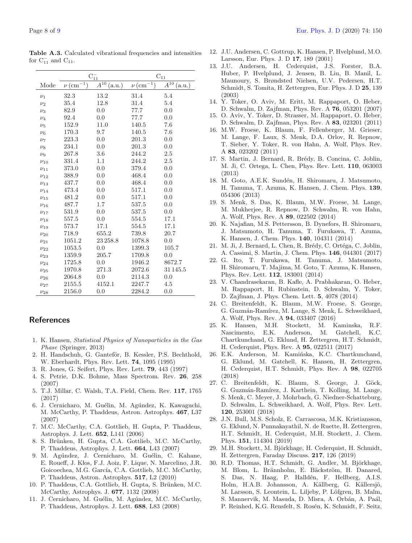|            | $C_{11}^-$             |                               | $C_{11}$                  |                               |
|------------|------------------------|-------------------------------|---------------------------|-------------------------------|
| Mode       | $\nu\,({\rm cm}^{-1})$ | $A^{\overline{10}}$<br>(a.u.) | $\nu$ (cm <sup>-1</sup> ) | $A^{\overline{10}}$<br>(a.u.) |
| $\nu_1$    | 32.3                   | 13.2                          | 31.4                      | 5.4                           |
| $\nu_2$    | 35.4                   | 12.8                          | 31.4                      | 5.4                           |
| $\nu_3$    | 82.9                   | 0.0                           | 77.7                      | 0.0                           |
| $\nu_4$    | 92.4                   | 0.0                           | 77.7                      | 0.0                           |
| $\nu_5$    | 152.9                  | 11.0                          | 140.5                     | 7.6                           |
| $\nu_6$    | 170.3                  | 9.7                           | 140.5                     | 7.6                           |
| $\nu_7$    | 223.3                  | 0.0                           | 201.3                     | 0.0                           |
| $\nu_8$    | 234.1                  | 0.0                           | 201.3                     | 0.0                           |
| $\nu_9$    | 267.8                  | 3.6                           | 244.2                     | 2.5                           |
| $\nu_{10}$ | 331.4                  | 1.1                           | 244.2                     | 2.5                           |
| $\nu_{11}$ | 373.0                  | 0.0                           | 379.4                     | 0.0                           |
| $\nu_{12}$ | 388.9                  | 0.0                           | 468.4                     | 0.0                           |
| $\nu_{13}$ | 437.7                  | 0.0                           | 468.4                     | 0.0                           |
| $\nu_{14}$ | 473.4                  | 0.0                           | 517.1                     | 0.0                           |
| $\nu_{15}$ | 481.2                  | 0.0                           | 517.1                     | 0.0                           |
| $v_{16}$   | 487.7                  | 1.7                           | 537.5                     | 0.0                           |
| $\nu_{17}$ | 531.9                  | 0.0                           | 537.5                     | 0.0                           |
| $\nu_{18}$ | 557.5                  | 0.0                           | 554.5                     | 17.1                          |
| $\nu_{19}$ | 573.7                  | 17.1                          | 554.5                     | 17.1                          |
| $\nu_{20}$ | 718.9                  | 655.2                         | 739.8                     | 20.7                          |
| $\nu_{21}$ | 1051.2                 | 23 258.8                      | 1078.8                    | 0.0                           |
| $\nu_{22}$ | 1053.5                 | 0.0                           | 1399.3                    | 105.7                         |
| $\nu_{23}$ | 1359.9                 | 205.7                         | 1709.8                    | 0.0                           |
| $\nu_{24}$ | 1725.8                 | 0.0                           | 1946.2                    | 8672.7                        |
| $\nu_{25}$ | 1970.8                 | 271.3                         | 2072.6                    | 31 1 45.5                     |
| $\nu_{26}$ | 2064.8                 | 0.0                           | 2114.3                    | 0.0                           |
| $\nu_{27}$ | 2155.5                 | 4152.1                        | 2247.7                    | 4.5                           |
| $\nu_{28}$ | 2156.0                 | 0.0                           | 2284.2                    | 0.0                           |

<span id="page-7-25"></span>Table A.3. Calculated vibrational frequencies and intensities for  $C_{11}^-$  and  $C_{11}$ .

## <span id="page-7-17"></span>References

- <span id="page-7-0"></span>1. K. Hansen, Statistical Physics of Nanoparticles in the Gas Phase (Springer, 2013)
- <span id="page-7-1"></span>2. H. Handschuh, G. Ganteför, B. Kessler, P.S. Bechthold, W. Eberhardt, Phys. Rev. Lett. 74, 1095 (1995)
- <span id="page-7-2"></span>3. R. Jones, G. Seifert, Phys. Rev. Lett. 79, 443 (1997)
- <span id="page-7-3"></span>4. S. Petrie, D.K. Bohme, Mass Spectrom. Rev. 26, 258 (2007)
- <span id="page-7-4"></span>5. T.J. Millar, C. Walsh, T.A. Field, Chem. Rev. 117, 1765 (2017)
- <span id="page-7-5"></span>6. J. Cernicharo, M. Guélin, M. Agúndez, K. Kawaguchi, M. McCarthy, P. Thaddeus, Astron. Astrophys. 467, L37 (2007)
- 7. M.C. McCarthy, C.A. Gottlieb, H. Gupta, P. Thaddeus, Astrophys. J. Lett. 652, L141 (2006)
- <span id="page-7-6"></span>8. S. Brünken, H. Gupta, C.A. Gottlieb, M.C. McCarthy, P. Thaddeus, Astrophys. J. Lett. 664, L43 (2007)
- <span id="page-7-7"></span>9. M. Agúndez, J. Cernicharo, M. Guélin, C. Kahane, E. Roueff, J. Kłos, F.J. Aoiz, F. Lique, N. Marcelino, J.R. Goicoechea, M.G. García, C.A. Gottlieb, M.C. McCarthy, P. Thaddeus, Astron. Astrophys. 517, L2 (2010)
- 10. P. Thaddeus, C.A. Gottlieb, H. Gupta, S. Brünken, M.C. McCarthy, Astrophys. J. 677, 1132 (2008)
- <span id="page-7-8"></span>11. J. Cernicharo, M. Guélin, M. Agúndez, M.C. McCarthy, P. Thaddeus, Astrophys. J. Lett. 688, L83 (2008)
- <span id="page-7-9"></span>12. J.U. Andersen, C. Gottrup, K. Hansen, P. Hvelplund, M.O. Larsson, Eur. Phys. J. D 17, 189 (2001)
- <span id="page-7-24"></span>13. J.U. Andersen, H. Cederquist, J.S. Forster, B.A. Huber, P. Hvelplund, J. Jensen, B. Liu, B. Manil, L. Maunoury, S. Brøndsted Nielsen, U.V. Pedersen, H.T. Schmidt, S. Tomita, H. Zettergren, Eur. Phys. J. D 25, 139 (2003)
- <span id="page-7-20"></span>14. Y. Toker, O. Aviv, M. Eritt, M. Rappaport, O. Heber, D. Schwalm, D. Zajfman, Phys. Rev. A 76, 053201 (2007)
- 15. O. Aviv, Y. Toker, D. Strasser, M. Rappaport, O. Heber, D. Schwalm, D. Zajfman, Phys. Rev. A 83, 023201 (2011)
- 16. M.W. Froese, K. Blaum, F. Fellenberger, M. Grieser, M. Lange, F. Laux, S. Menk, D.A. Orlov, R. Repnow, T. Sieber, Y. Toker, R. von Hahn, A. Wolf, Phys. Rev. A 83, 023202 (2011)
- 17. S. Martin, J. Bernard, R. Brédy, B. Concina, C. Joblin, M. Ji, C. Ortega, L. Chen, Phys. Rev. Lett. 110, 063003 (2013)
- 18. M. Goto, A.E.K. Sundén, H. Shiromaru, J. Matsumoto, H. Tanuma, T. Azuma, K. Hansen, J. Chem. Phys. 139, 054306 (2013)
- <span id="page-7-21"></span>19. S. Menk, S. Das, K. Blaum, M.W. Froese, M. Lange, M. Mukherjee, R. Repnow, D. Schwalm, R. von Hahn, A. Wolf, Phys. Rev. A 89, 022502 (2014)
- <span id="page-7-11"></span>20. K. Najafian, M.S. Pettersson, B. Dynefors, H. Shiromaru, J. Matsumoto, H. Tanuma, T. Furukawa, T. Azuma, K. Hansen, J. Chem. Phys. 140, 104311 (2014)
- <span id="page-7-10"></span>21. M. Ji, J. Bernard, L. Chen, R. Brédy, C. Ortéga, C. Joblin, A. Cassimi, S. Martin, J. Chem. Phys. 146, 044301 (2017)
- <span id="page-7-12"></span>22. G. Ito, T. Furukawa, H. Tanuma, J. Matsumoto, H. Shiromaru, T. Majima, M. Goto, T. Azuma, K. Hansen, Phys. Rev. Lett. 112, 183001 (2014)
- <span id="page-7-13"></span>23. V. Chandrasekaran, B. Kafle, A. Prabhakaran, O. Heber, M. Rappaport, H. Rubinstein, D. Schwalm, Y. Toker, D. Zajfman, J. Phys. Chem. Lett. 5, 4078 (2014)
- <span id="page-7-14"></span>24. C. Breitenfeldt, K. Blaum, M.W. Froese, S. George, G. Guzmán-Ramírez, M. Lange, S. Menk, L. Schweikhard, A. Wolf, Phys. Rev. A 94, 033407 (2016)
- <span id="page-7-23"></span>25. K. Hansen, M.H. Stockett, M. Kaminska, R.F. Anderson, M. Gatchell, K.C. Chartkunchand, G. Eklund, H. Zettergren, H.T. Schmidt, H. Cederquist, Phys. Rev. A 95, 022511 (2017)
- <span id="page-7-22"></span>26. E.K. Anderson, M. Kamińska, K.C. Chartkunchand, G. Eklund, M. Gatchell, K. Hansen, H. Zettergren, H. Cederquist, H.T. Schmidt, Phys. Rev. A 98, 022705 (2018)
- <span id="page-7-15"></span>27. C. Breitenfeldt, K. Blaum, S. George, J. Göck, G. Guzmán-Ramírez, J. Karthein, T. Kolling, M. Lange, S. Menk, C. Meyer, J. Mohrbach, G. Niedner-Schatteburg, D. Schwalm, L. Schweikhard, A. Wolf, Phys. Rev. Lett. 120, 253001 (2018)
- <span id="page-7-16"></span>28. J.N. Bull, M.S. Scholz, E. Carrascosa, M.K. Kristiansson, G. Eklund, N. Punnakayathil, N. de Ruette, H. Zettergren, H.T. Schmidt, H. Cederquist, M.H. Stockett, J. Chem. Phys. 151, 114304 (2019)
- <span id="page-7-19"></span>29. M.H. Stockett, M. Björkhage, H. Cederquist, H. Schmidt, H. Zettergren, Faraday Discuss. 217, 126 (2019)
- <span id="page-7-18"></span>30. R.D. Thomas, H.T. Schmidt, G. Andler, M. Björkhage, M. Blom, L. Brännholm, E. Bäckström, H. Danared, S. Das, N. Haag, P. Halldén, F. Hellberg, A.I.S. Holm, H.A.B. Johansson, A. Källberg, G. Källersjö, M. Larsson, S. Leontein, L. Liljeby, P. Löfgren, B. Malm, S. Mannervik, M. Masuda, D. Misra, A. Orbán, A. Paál, P. Reinhed, K.G. Rensfelt, S. Rosén, K. Schmidt, F. Seitz,